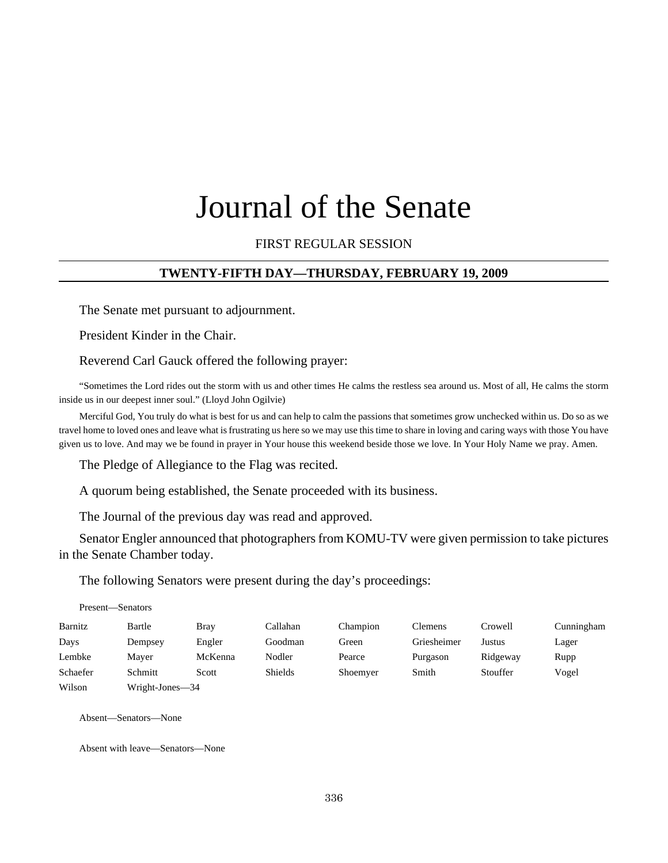# Journal of the Senate

# FIRST REGULAR SESSION

# **TWENTY-FIFTH DAY—THURSDAY, FEBRUARY 19, 2009**

The Senate met pursuant to adjournment.

President Kinder in the Chair.

Reverend Carl Gauck offered the following prayer:

"Sometimes the Lord rides out the storm with us and other times He calms the restless sea around us. Most of all, He calms the storm inside us in our deepest inner soul." (Lloyd John Ogilvie)

Merciful God, You truly do what is best for us and can help to calm the passions that sometimes grow unchecked within us. Do so as we travel home to loved ones and leave what is frustrating us here so we may use this time to share in loving and caring ways with those You have given us to love. And may we be found in prayer in Your house this weekend beside those we love. In Your Holy Name we pray. Amen.

The Pledge of Allegiance to the Flag was recited.

A quorum being established, the Senate proceeded with its business.

The Journal of the previous day was read and approved.

Senator Engler announced that photographers from KOMU-TV were given permission to take pictures in the Senate Chamber today.

The following Senators were present during the day's proceedings:

| Present—Senators |                 |             |                |          |             |          |            |
|------------------|-----------------|-------------|----------------|----------|-------------|----------|------------|
| Barnitz          | Bartle          | <b>Bray</b> | Callahan       | Champion | Clemens     | Crowell  | Cunningham |
| Days             | Dempsey         | Engler      | Goodman        | Green    | Griesheimer | Justus   | Lager      |
| Lembke           | Mayer           | McKenna     | Nodler         | Pearce   | Purgason    | Ridgeway | Rupp       |
| Schaefer         | Schmitt         | Scott       | <b>Shields</b> | Shoemyer | Smith       | Stouffer | Vogel      |
| Wilson           | Wright-Jones-34 |             |                |          |             |          |            |

Absent—Senators—None

Absent with leave—Senators—None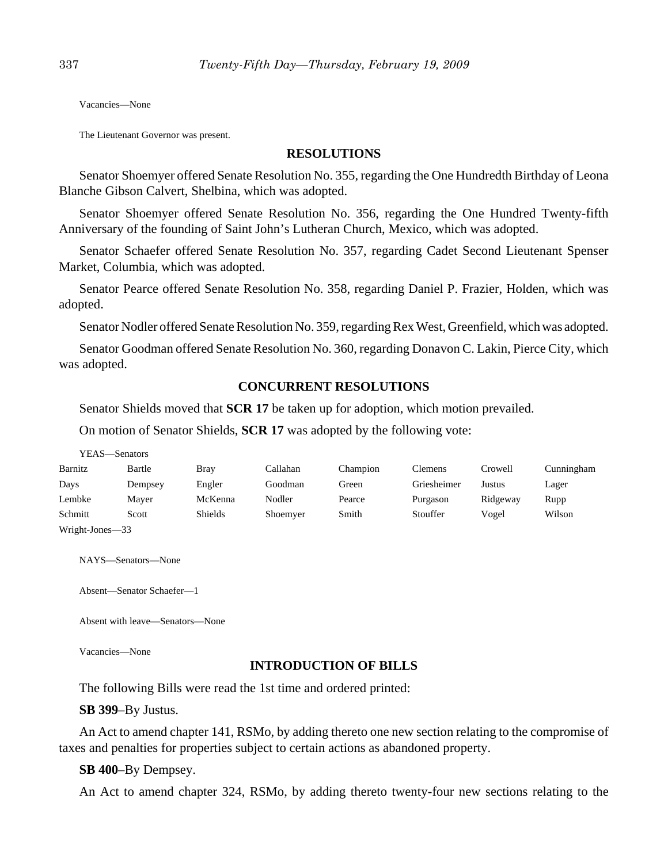Vacancies—None

The Lieutenant Governor was present.

#### **RESOLUTIONS**

Senator Shoemyer offered Senate Resolution No. 355, regarding the One Hundredth Birthday of Leona Blanche Gibson Calvert, Shelbina, which was adopted.

Senator Shoemyer offered Senate Resolution No. 356, regarding the One Hundred Twenty-fifth Anniversary of the founding of Saint John's Lutheran Church, Mexico, which was adopted.

Senator Schaefer offered Senate Resolution No. 357, regarding Cadet Second Lieutenant Spenser Market, Columbia, which was adopted.

Senator Pearce offered Senate Resolution No. 358, regarding Daniel P. Frazier, Holden, which was adopted.

Senator Nodler offered Senate Resolution No. 359, regarding Rex West, Greenfield, which was adopted.

Senator Goodman offered Senate Resolution No. 360, regarding Donavon C. Lakin, Pierce City, which was adopted.

## **CONCURRENT RESOLUTIONS**

Senator Shields moved that **SCR 17** be taken up for adoption, which motion prevailed.

On motion of Senator Shields, **SCR 17** was adopted by the following vote:

| YEAS—Senators   |         |                |          |          |             |          |            |
|-----------------|---------|----------------|----------|----------|-------------|----------|------------|
| Barnitz         | Bartle  | <b>Bray</b>    | Callahan | Champion | Clemens     | Crowell  | Cunningham |
| Days            | Dempsey | Engler         | Goodman  | Green    | Griesheimer | Justus   | Lager      |
| Lembke          | Mayer   | McKenna        | Nodler   | Pearce   | Purgason    | Ridgeway | Rupp       |
| Schmitt         | Scott   | <b>Shields</b> | Shoemyer | Smith    | Stouffer    | Vogel    | Wilson     |
| Wright-Jones-33 |         |                |          |          |             |          |            |

NAYS—Senators—None

Absent—Senator Schaefer—1

Absent with leave—Senators—None

Vacancies—None

#### **INTRODUCTION OF BILLS**

The following Bills were read the 1st time and ordered printed:

**SB 399**–By Justus.

An Act to amend chapter 141, RSMo, by adding thereto one new section relating to the compromise of taxes and penalties for properties subject to certain actions as abandoned property.

## **SB 400**–By Dempsey.

An Act to amend chapter 324, RSMo, by adding thereto twenty-four new sections relating to the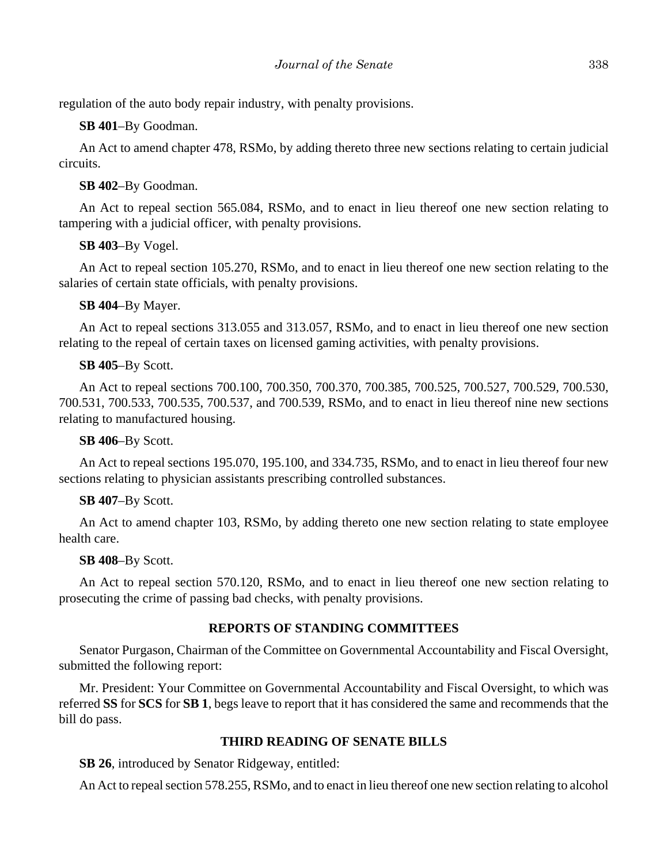regulation of the auto body repair industry, with penalty provisions.

# **SB 401**–By Goodman.

An Act to amend chapter 478, RSMo, by adding thereto three new sections relating to certain judicial circuits.

# **SB 402**–By Goodman.

An Act to repeal section 565.084, RSMo, and to enact in lieu thereof one new section relating to tampering with a judicial officer, with penalty provisions.

# **SB 403**–By Vogel.

An Act to repeal section 105.270, RSMo, and to enact in lieu thereof one new section relating to the salaries of certain state officials, with penalty provisions.

# **SB 404**–By Mayer.

An Act to repeal sections 313.055 and 313.057, RSMo, and to enact in lieu thereof one new section relating to the repeal of certain taxes on licensed gaming activities, with penalty provisions.

# **SB 405**–By Scott.

An Act to repeal sections 700.100, 700.350, 700.370, 700.385, 700.525, 700.527, 700.529, 700.530, 700.531, 700.533, 700.535, 700.537, and 700.539, RSMo, and to enact in lieu thereof nine new sections relating to manufactured housing.

# **SB 406**–By Scott.

An Act to repeal sections 195.070, 195.100, and 334.735, RSMo, and to enact in lieu thereof four new sections relating to physician assistants prescribing controlled substances.

# **SB 407**–By Scott.

An Act to amend chapter 103, RSMo, by adding thereto one new section relating to state employee health care.

# **SB 408**–By Scott.

An Act to repeal section 570.120, RSMo, and to enact in lieu thereof one new section relating to prosecuting the crime of passing bad checks, with penalty provisions.

# **REPORTS OF STANDING COMMITTEES**

Senator Purgason, Chairman of the Committee on Governmental Accountability and Fiscal Oversight, submitted the following report:

Mr. President: Your Committee on Governmental Accountability and Fiscal Oversight, to which was referred **SS** for **SCS** for **SB 1**, begs leave to report that it has considered the same and recommends that the bill do pass.

# **THIRD READING OF SENATE BILLS**

**SB 26**, introduced by Senator Ridgeway, entitled:

An Act to repeal section 578.255, RSMo, and to enact in lieu thereof one new section relating to alcohol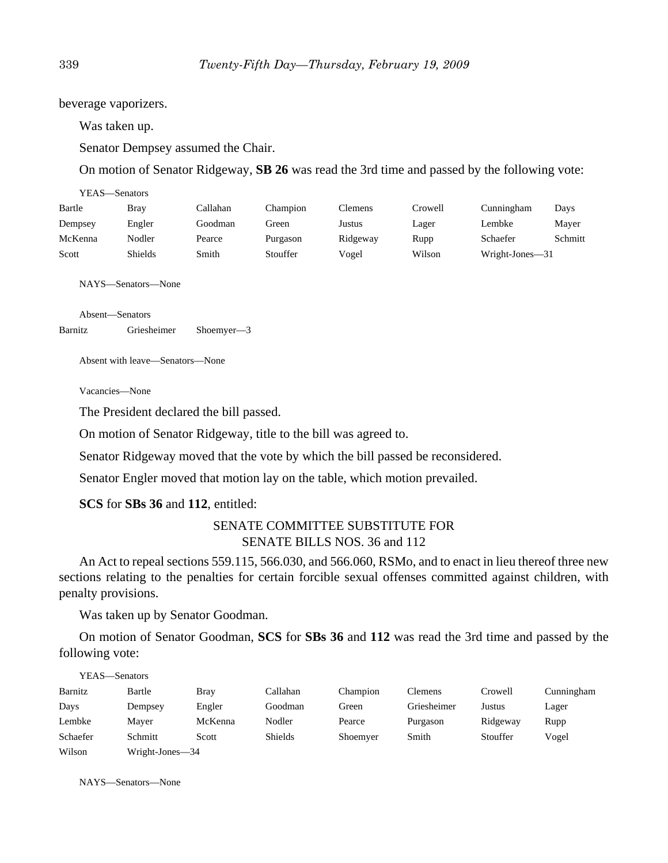beverage vaporizers.

Was taken up.

Senator Dempsey assumed the Chair.

On motion of Senator Ridgeway, **SB 26** was read the 3rd time and passed by the following vote:

| YEAS—Senators |                |          |          |                |         |                 |         |
|---------------|----------------|----------|----------|----------------|---------|-----------------|---------|
| Bartle        | Bray           | Callahan | Champion | <b>Clemens</b> | Crowell | Cunningham      | Days    |
| Dempsey       | Engler         | Goodman  | Green    | Justus         | Lager   | Lembke          | Mayer   |
| McKenna       | Nodler         | Pearce   | Purgason | Ridgeway       | Rupp    | Schaefer        | Schmitt |
| Scott         | <b>Shields</b> | Smith    | Stouffer | Vogel          | Wilson  | Wright-Jones-31 |         |

NAYS—Senators—None

Absent—Senators Barnitz Griesheimer Shoemyer—3

Absent with leave—Senators—None

Vacancies—None

The President declared the bill passed.

On motion of Senator Ridgeway, title to the bill was agreed to.

Senator Ridgeway moved that the vote by which the bill passed be reconsidered.

Senator Engler moved that motion lay on the table, which motion prevailed.

**SCS** for **SBs 36** and **112**, entitled:

# SENATE COMMITTEE SUBSTITUTE FOR SENATE BILLS NOS. 36 and 112

An Act to repeal sections 559.115, 566.030, and 566.060, RSMo, and to enact in lieu thereof three new sections relating to the penalties for certain forcible sexual offenses committed against children, with penalty provisions.

Was taken up by Senator Goodman.

On motion of Senator Goodman, **SCS** for **SBs 36** and **112** was read the 3rd time and passed by the following vote:

|          | YEAS—Senators   |             |                |          |                |          |            |
|----------|-----------------|-------------|----------------|----------|----------------|----------|------------|
| Barnitz  | Bartle          | <b>Bray</b> | Callahan       | Champion | <b>Clemens</b> | Crowell  | Cunningham |
| Days     | Dempsey         | Engler      | Goodman        | Green    | Griesheimer    | Justus   | Lager      |
| Lembke   | Mayer           | McKenna     | Nodler         | Pearce   | Purgason       | Ridgeway | Rupp       |
| Schaefer | Schmitt         | Scott       | <b>Shields</b> | Shoemyer | Smith          | Stouffer | Vogel      |
| Wilson   | Wright-Jones-34 |             |                |          |                |          |            |

NAYS—Senators—None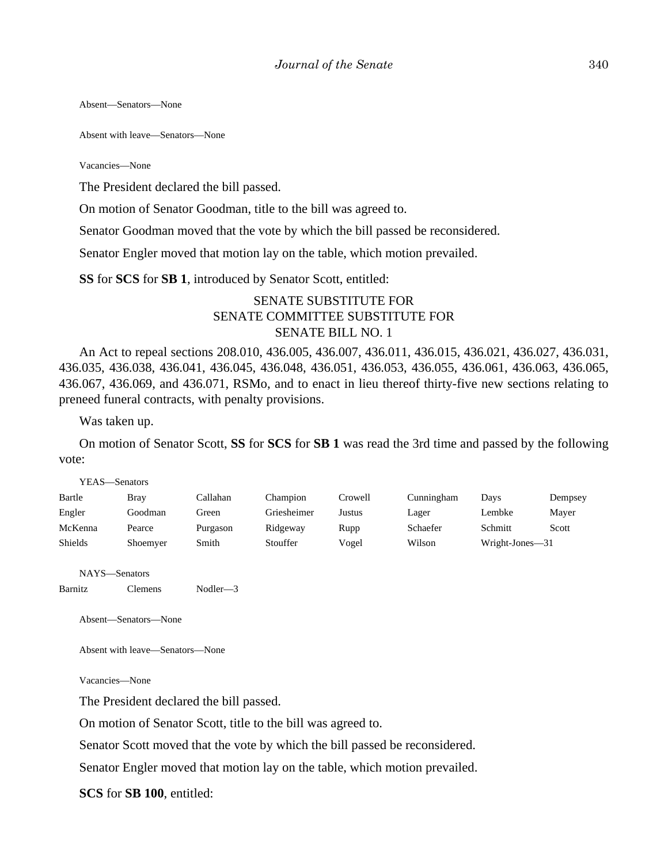Absent—Senators—None

Absent with leave—Senators—None

Vacancies—None

The President declared the bill passed.

On motion of Senator Goodman, title to the bill was agreed to.

Senator Goodman moved that the vote by which the bill passed be reconsidered.

Senator Engler moved that motion lay on the table, which motion prevailed.

**SS** for **SCS** for **SB 1**, introduced by Senator Scott, entitled:

# SENATE SUBSTITUTE FOR SENATE COMMITTEE SUBSTITUTE FOR SENATE BILL NO. 1

An Act to repeal sections 208.010, 436.005, 436.007, 436.011, 436.015, 436.021, 436.027, 436.031, 436.035, 436.038, 436.041, 436.045, 436.048, 436.051, 436.053, 436.055, 436.061, 436.063, 436.065, 436.067, 436.069, and 436.071, RSMo, and to enact in lieu thereof thirty-five new sections relating to preneed funeral contracts, with penalty provisions.

Was taken up.

On motion of Senator Scott, **SS** for **SCS** for **SB 1** was read the 3rd time and passed by the following vote:

| YEAS—Senators  |          |          |             |         |            |                 |         |
|----------------|----------|----------|-------------|---------|------------|-----------------|---------|
| Bartle         | Bray     | Callahan | Champion    | Crowell | Cunningham | Days            | Dempsey |
| Engler         | Goodman  | Green    | Griesheimer | Justus  | Lager      | Lembke          | Mayer   |
| McKenna        | Pearce   | Purgason | Ridgeway    | Rupp    | Schaefer   | Schmitt         | Scott   |
| <b>Shields</b> | Shoemyer | Smith    | Stouffer    | Vogel   | Wilson     | Wright-Jones-31 |         |

NAYS—Senators

Barnitz Clemens Nodler—3

Absent—Senators—None

Absent with leave—Senators—None

Vacancies—None

The President declared the bill passed.

On motion of Senator Scott, title to the bill was agreed to.

Senator Scott moved that the vote by which the bill passed be reconsidered.

Senator Engler moved that motion lay on the table, which motion prevailed.

**SCS** for **SB 100**, entitled: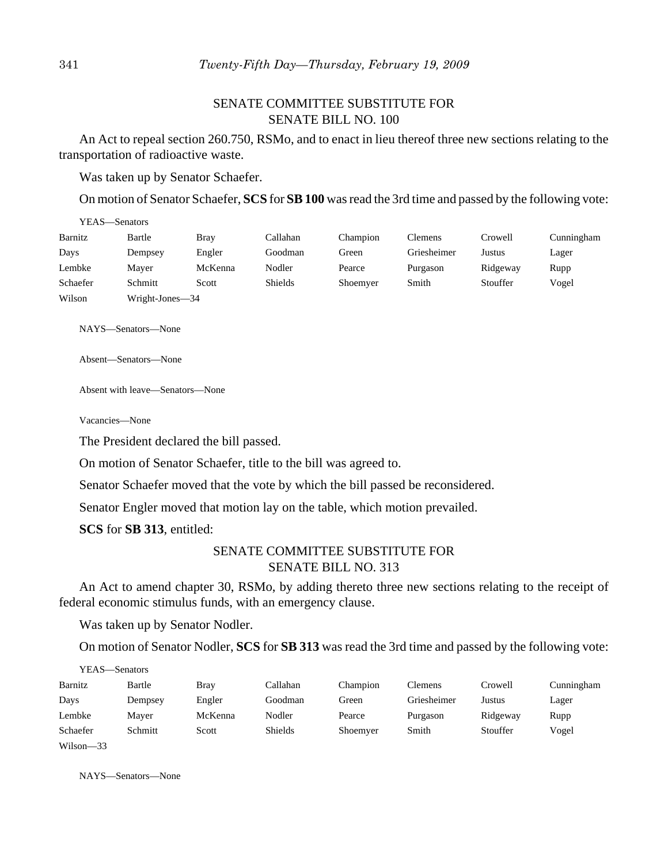# SENATE COMMITTEE SUBSTITUTE FOR SENATE BILL NO. 100

An Act to repeal section 260.750, RSMo, and to enact in lieu thereof three new sections relating to the transportation of radioactive waste.

Was taken up by Senator Schaefer.

On motion of Senator Schaefer, **SCS** for **SB 100** was read the 3rd time and passed by the following vote:

| YEAS—Senators |                 |             |                |          |                |          |            |
|---------------|-----------------|-------------|----------------|----------|----------------|----------|------------|
| Barnitz       | Bartle          | <b>Bray</b> | Callahan       | Champion | <b>Clemens</b> | Crowell  | Cunningham |
| Days          | Dempsey         | Engler      | Goodman        | Green    | Griesheimer    | Justus   | Lager      |
| Lembke        | Mayer           | McKenna     | Nodler         | Pearce   | Purgason       | Ridgeway | Rupp       |
| Schaefer      | Schmitt         | Scott       | <b>Shields</b> | Shoemyer | Smith          | Stouffer | Vogel      |
| Wilson        | Wright-Jones-34 |             |                |          |                |          |            |

NAYS—Senators—None

Absent—Senators—None

Absent with leave—Senators—None

Vacancies—None

The President declared the bill passed.

On motion of Senator Schaefer, title to the bill was agreed to.

Senator Schaefer moved that the vote by which the bill passed be reconsidered.

Senator Engler moved that motion lay on the table, which motion prevailed.

**SCS** for **SB 313**, entitled:

# SENATE COMMITTEE SUBSTITUTE FOR SENATE BILL NO. 313

An Act to amend chapter 30, RSMo, by adding thereto three new sections relating to the receipt of federal economic stimulus funds, with an emergency clause.

Was taken up by Senator Nodler.

On motion of Senator Nodler, **SCS** for **SB 313** was read the 3rd time and passed by the following vote:

| YEAS—Senators |         |         |                |          |                |          |            |
|---------------|---------|---------|----------------|----------|----------------|----------|------------|
| Barnitz       | Bartle  | Bray    | Callahan       | Champion | <b>Clemens</b> | Crowell  | Cunningham |
| Days          | Dempsey | Engler  | Goodman        | Green    | Griesheimer    | Justus   | Lager      |
| Lembke        | Mayer   | McKenna | Nodler         | Pearce   | Purgason       | Ridgeway | Rupp       |
| Schaefer      | Schmitt | Scott   | <b>Shields</b> | Shoemyer | Smith          | Stouffer | Vogel      |
| $Wilson - 33$ |         |         |                |          |                |          |            |

NAYS—Senators—None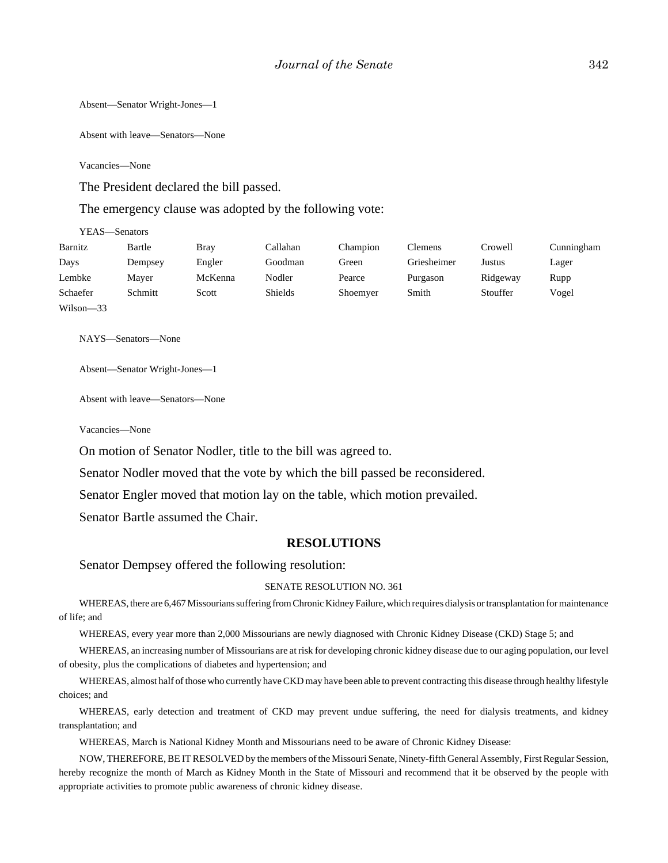Absent—Senator Wright-Jones—1

Absent with leave—Senators—None

Vacancies—None

The President declared the bill passed.

The emergency clause was adopted by the following vote:

YEAS—Senators

| Barnitz      | Bartle  | Brav    | Callahan       | Champion | <b>Clemens</b> | Crowell  | Cunningham |
|--------------|---------|---------|----------------|----------|----------------|----------|------------|
| Days         | Dempsey | Engler  | Goodman        | Green    | Griesheimer    | Justus   | Lager      |
| Lembke       | Maver   | McKenna | Nodler         | Pearce   | Purgason       | Ridgeway | Rupp       |
| Schaefer     | Schmitt | Scott   | <b>Shields</b> | Shoemyer | Smith          | Stouffer | Vogel      |
| Wilson $-33$ |         |         |                |          |                |          |            |

NAYS—Senators—None

Absent—Senator Wright-Jones—1

Absent with leave—Senators—None

Vacancies—None

On motion of Senator Nodler, title to the bill was agreed to.

Senator Nodler moved that the vote by which the bill passed be reconsidered.

Senator Engler moved that motion lay on the table, which motion prevailed.

Senator Bartle assumed the Chair.

#### **RESOLUTIONS**

Senator Dempsey offered the following resolution:

#### SENATE RESOLUTION NO. 361

WHEREAS, there are 6,467 Missourians suffering from Chronic Kidney Failure, which requires dialysis or transplantation for maintenance of life; and

WHEREAS, every year more than 2,000 Missourians are newly diagnosed with Chronic Kidney Disease (CKD) Stage 5; and

WHEREAS, an increasing number of Missourians are at risk for developing chronic kidney disease due to our aging population, our level of obesity, plus the complications of diabetes and hypertension; and

WHEREAS, almost half of those who currently have CKD may have been able to prevent contracting this disease through healthy lifestyle choices; and

WHEREAS, early detection and treatment of CKD may prevent undue suffering, the need for dialysis treatments, and kidney transplantation; and

WHEREAS, March is National Kidney Month and Missourians need to be aware of Chronic Kidney Disease:

NOW, THEREFORE, BE IT RESOLVED by the members of the Missouri Senate, Ninety-fifth General Assembly, First Regular Session, hereby recognize the month of March as Kidney Month in the State of Missouri and recommend that it be observed by the people with appropriate activities to promote public awareness of chronic kidney disease.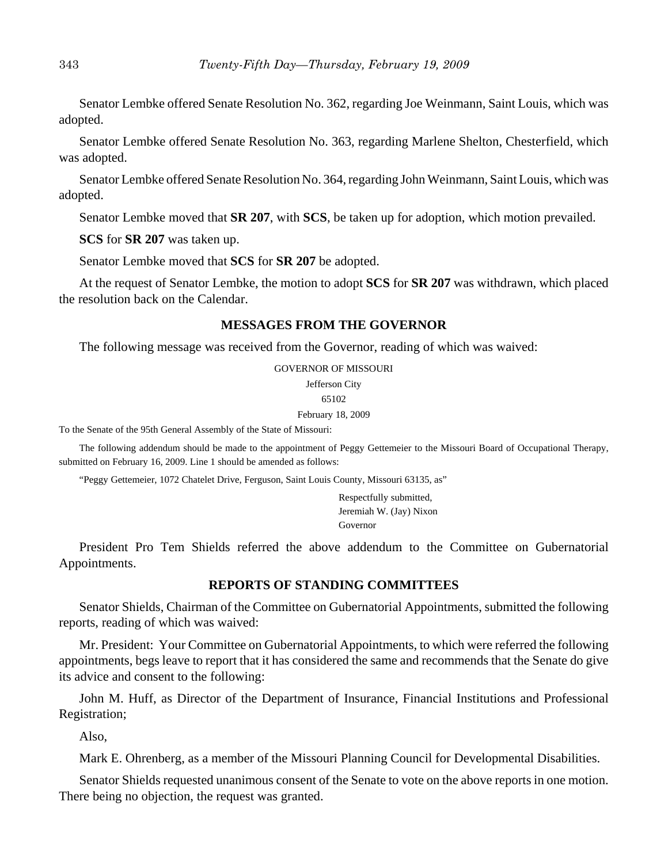Senator Lembke offered Senate Resolution No. 362, regarding Joe Weinmann, Saint Louis, which was adopted.

Senator Lembke offered Senate Resolution No. 363, regarding Marlene Shelton, Chesterfield, which was adopted.

Senator Lembke offered Senate Resolution No. 364, regarding John Weinmann, Saint Louis, which was adopted.

Senator Lembke moved that **SR 207**, with **SCS**, be taken up for adoption, which motion prevailed.

**SCS** for **SR 207** was taken up.

Senator Lembke moved that **SCS** for **SR 207** be adopted.

At the request of Senator Lembke, the motion to adopt **SCS** for **SR 207** was withdrawn, which placed the resolution back on the Calendar.

#### **MESSAGES FROM THE GOVERNOR**

The following message was received from the Governor, reading of which was waived:

GOVERNOR OF MISSOURI

Jefferson City

#### 65102

February 18, 2009

To the Senate of the 95th General Assembly of the State of Missouri:

The following addendum should be made to the appointment of Peggy Gettemeier to the Missouri Board of Occupational Therapy, submitted on February 16, 2009. Line 1 should be amended as follows:

"Peggy Gettemeier, 1072 Chatelet Drive, Ferguson, Saint Louis County, Missouri 63135, as"

Respectfully submitted, Jeremiah W. (Jay) Nixon Governor

President Pro Tem Shields referred the above addendum to the Committee on Gubernatorial Appointments.

## **REPORTS OF STANDING COMMITTEES**

Senator Shields, Chairman of the Committee on Gubernatorial Appointments, submitted the following reports, reading of which was waived:

Mr. President: Your Committee on Gubernatorial Appointments, to which were referred the following appointments, begs leave to report that it has considered the same and recommends that the Senate do give its advice and consent to the following:

John M. Huff, as Director of the Department of Insurance, Financial Institutions and Professional Registration;

Also,

Mark E. Ohrenberg, as a member of the Missouri Planning Council for Developmental Disabilities.

Senator Shields requested unanimous consent of the Senate to vote on the above reports in one motion. There being no objection, the request was granted.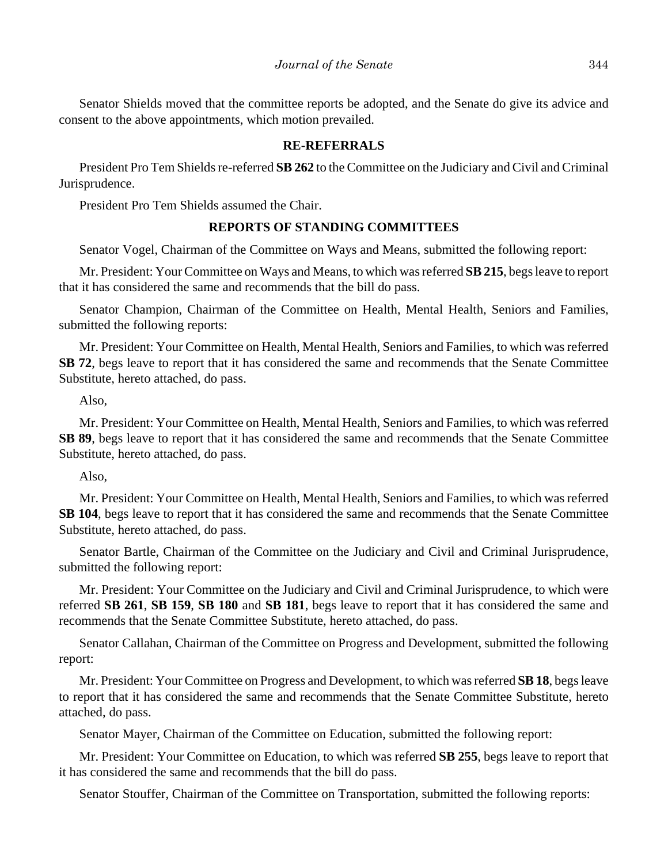Senator Shields moved that the committee reports be adopted, and the Senate do give its advice and consent to the above appointments, which motion prevailed.

# **RE-REFERRALS**

President Pro Tem Shields re-referred **SB 262** to the Committee on the Judiciary and Civil and Criminal Jurisprudence.

President Pro Tem Shields assumed the Chair.

# **REPORTS OF STANDING COMMITTEES**

Senator Vogel, Chairman of the Committee on Ways and Means, submitted the following report:

Mr. President: Your Committee on Ways and Means, to which was referred **SB 215**, begs leave to report that it has considered the same and recommends that the bill do pass.

Senator Champion, Chairman of the Committee on Health, Mental Health, Seniors and Families, submitted the following reports:

Mr. President: Your Committee on Health, Mental Health, Seniors and Families, to which was referred **SB 72**, begs leave to report that it has considered the same and recommends that the Senate Committee Substitute, hereto attached, do pass.

Also,

Mr. President: Your Committee on Health, Mental Health, Seniors and Families, to which was referred **SB 89**, begs leave to report that it has considered the same and recommends that the Senate Committee Substitute, hereto attached, do pass.

Also,

Mr. President: Your Committee on Health, Mental Health, Seniors and Families, to which was referred **SB 104**, begs leave to report that it has considered the same and recommends that the Senate Committee Substitute, hereto attached, do pass.

Senator Bartle, Chairman of the Committee on the Judiciary and Civil and Criminal Jurisprudence, submitted the following report:

Mr. President: Your Committee on the Judiciary and Civil and Criminal Jurisprudence, to which were referred **SB 261**, **SB 159**, **SB 180** and **SB 181**, begs leave to report that it has considered the same and recommends that the Senate Committee Substitute, hereto attached, do pass.

Senator Callahan, Chairman of the Committee on Progress and Development, submitted the following report:

Mr. President: Your Committee on Progress and Development, to which was referred **SB 18**, begs leave to report that it has considered the same and recommends that the Senate Committee Substitute, hereto attached, do pass.

Senator Mayer, Chairman of the Committee on Education, submitted the following report:

Mr. President: Your Committee on Education, to which was referred **SB 255**, begs leave to report that it has considered the same and recommends that the bill do pass.

Senator Stouffer, Chairman of the Committee on Transportation, submitted the following reports: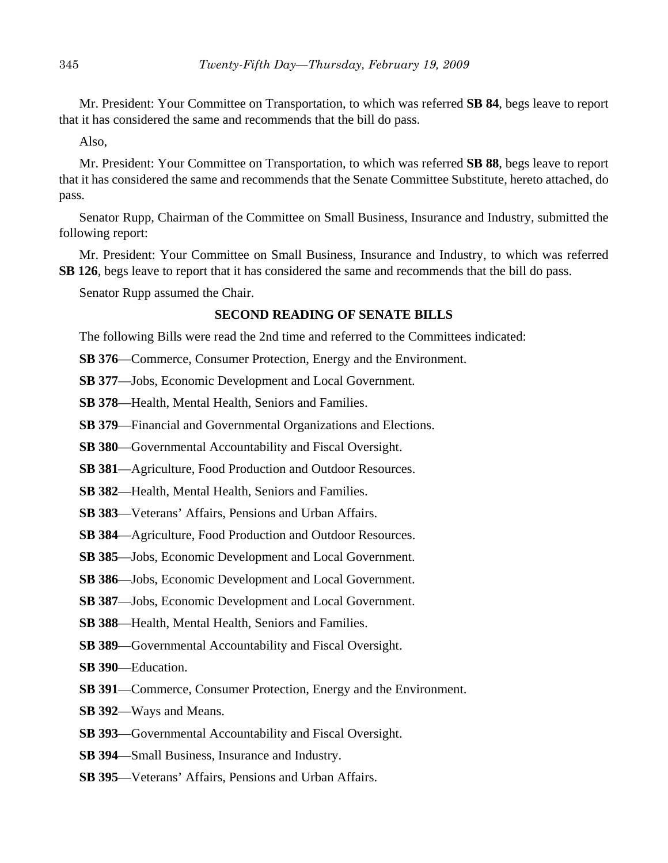Mr. President: Your Committee on Transportation, to which was referred **SB 84**, begs leave to report that it has considered the same and recommends that the bill do pass.

Also,

Mr. President: Your Committee on Transportation, to which was referred **SB 88**, begs leave to report that it has considered the same and recommends that the Senate Committee Substitute, hereto attached, do pass.

Senator Rupp, Chairman of the Committee on Small Business, Insurance and Industry, submitted the following report:

Mr. President: Your Committee on Small Business, Insurance and Industry, to which was referred **SB 126**, begs leave to report that it has considered the same and recommends that the bill do pass.

Senator Rupp assumed the Chair.

# **SECOND READING OF SENATE BILLS**

The following Bills were read the 2nd time and referred to the Committees indicated:

**SB 376**—Commerce, Consumer Protection, Energy and the Environment.

**SB 377**—Jobs, Economic Development and Local Government.

**SB 378**—Health, Mental Health, Seniors and Families.

**SB 379**—Financial and Governmental Organizations and Elections.

**SB 380**—Governmental Accountability and Fiscal Oversight.

**SB 381**—Agriculture, Food Production and Outdoor Resources.

**SB 382**—Health, Mental Health, Seniors and Families.

**SB 383**—Veterans' Affairs, Pensions and Urban Affairs.

**SB 384**—Agriculture, Food Production and Outdoor Resources.

**SB 385**—Jobs, Economic Development and Local Government.

**SB 386**—Jobs, Economic Development and Local Government.

**SB 387**—Jobs, Economic Development and Local Government.

**SB 388**—Health, Mental Health, Seniors and Families.

**SB 389**—Governmental Accountability and Fiscal Oversight.

**SB 390**—Education.

**SB 391**—Commerce, Consumer Protection, Energy and the Environment.

**SB 392**—Ways and Means.

**SB 393**—Governmental Accountability and Fiscal Oversight.

**SB 394**—Small Business, Insurance and Industry.

**SB 395**—Veterans' Affairs, Pensions and Urban Affairs.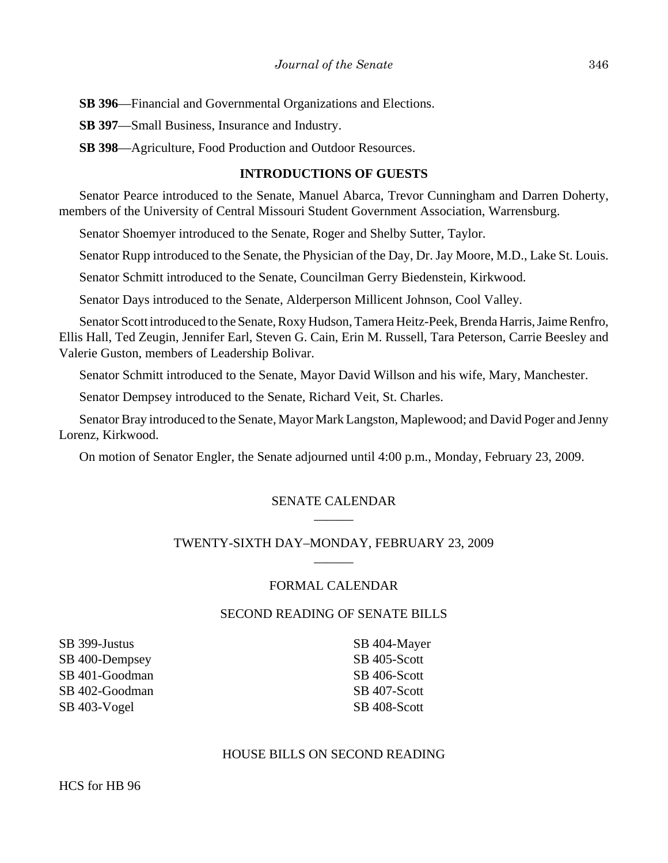**SB 396**—Financial and Governmental Organizations and Elections.

**SB 397**—Small Business, Insurance and Industry.

**SB 398**—Agriculture, Food Production and Outdoor Resources.

# **INTRODUCTIONS OF GUESTS**

Senator Pearce introduced to the Senate, Manuel Abarca, Trevor Cunningham and Darren Doherty, members of the University of Central Missouri Student Government Association, Warrensburg.

Senator Shoemyer introduced to the Senate, Roger and Shelby Sutter, Taylor.

Senator Rupp introduced to the Senate, the Physician of the Day, Dr. Jay Moore, M.D., Lake St. Louis.

Senator Schmitt introduced to the Senate, Councilman Gerry Biedenstein, Kirkwood.

Senator Days introduced to the Senate, Alderperson Millicent Johnson, Cool Valley.

Senator Scott introduced to the Senate, Roxy Hudson, Tamera Heitz-Peek, Brenda Harris, Jaime Renfro, Ellis Hall, Ted Zeugin, Jennifer Earl, Steven G. Cain, Erin M. Russell, Tara Peterson, Carrie Beesley and Valerie Guston, members of Leadership Bolivar.

Senator Schmitt introduced to the Senate, Mayor David Willson and his wife, Mary, Manchester.

Senator Dempsey introduced to the Senate, Richard Veit, St. Charles.

Senator Bray introduced to the Senate, Mayor Mark Langston, Maplewood; and David Poger and Jenny Lorenz, Kirkwood.

On motion of Senator Engler, the Senate adjourned until 4:00 p.m., Monday, February 23, 2009.

# SENATE CALENDAR  $\overline{\phantom{a}}$

## TWENTY-SIXTH DAY–MONDAY, FEBRUARY 23, 2009  $\overline{\phantom{a}}$

## FORMAL CALENDAR

## SECOND READING OF SENATE BILLS

SB 399-Justus SB 400-Dempsey SB 401-Goodman SB 402-Goodman SB 403-Vogel

SB 404-Mayer SB 405-Scott SB 406-Scott SB 407-Scott SB 408-Scott

#### HOUSE BILLS ON SECOND READING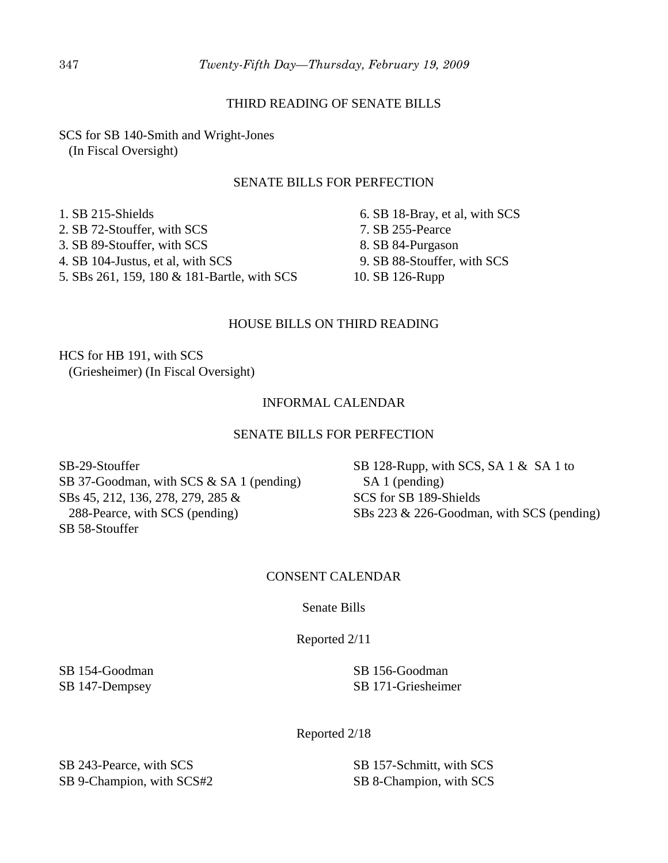# THIRD READING OF SENATE BILLS

SCS for SB 140-Smith and Wright-Jones (In Fiscal Oversight)

## SENATE BILLS FOR PERFECTION

1. SB 215-Shields 2. SB 72-Stouffer, with SCS 3. SB 89-Stouffer, with SCS 4. SB 104-Justus, et al, with SCS 5. SBs 261, 159, 180 & 181-Bartle, with SCS

 6. SB 18-Bray, et al, with SCS 7. SB 255-Pearce 8. SB 84-Purgason 9. SB 88-Stouffer, with SCS 10. SB 126-Rupp

# HOUSE BILLS ON THIRD READING

HCS for HB 191, with SCS (Griesheimer) (In Fiscal Oversight)

# INFORMAL CALENDAR

## SENATE BILLS FOR PERFECTION

SB-29-Stouffer SB 37-Goodman, with SCS & SA 1 (pending) SBs 45, 212, 136, 278, 279, 285 & 288-Pearce, with SCS (pending) SB 58-Stouffer

SB 128-Rupp, with SCS, SA 1 & SA 1 to SA 1 (pending) SCS for SB 189-Shields SBs 223 & 226-Goodman, with SCS (pending)

#### CONSENT CALENDAR

Senate Bills

Reported 2/11

SB 154-Goodman SB 147-Dempsey

SB 156-Goodman SB 171-Griesheimer

Reported 2/18

SB 243-Pearce, with SCS SB 9-Champion, with SCS#2

SB 157-Schmitt, with SCS SB 8-Champion, with SCS